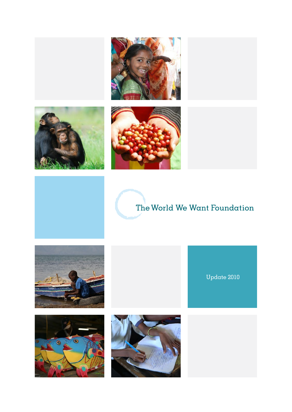





### The World We Want Foundation

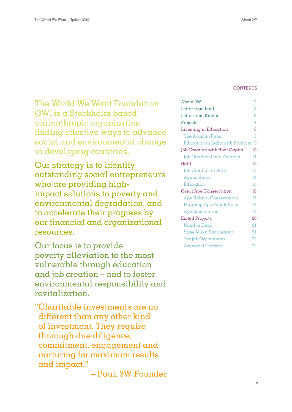#### **CONTENTS**

The World We Want Foundation (3W) is a Stockholm based philanthropic organization finding effective ways to advance social and environmental change in developing countries.

Our strategy is to identify outstanding social entrepreneurs who are providing highimpact solutions to poverty and environmental degradation, and to accelerate their progress by our financial and organizational resources.

Our focus is to provide poverty alleviation to the most vulnerable through education and job creation – and to foster environmental responsibility and revitalization.

"Charitable investments are no different than any other kind of investment. They require thorough due diligence, commitment, engagement and nurturing for maximum results and impact."

– Paul, 3W Founder

| About 3W                          | 2  |
|-----------------------------------|----|
| Letter from Paul                  | 3  |
| Letter from Kirsten               | 6  |
| Projects                          | 7  |
| Investing in Education            | 8  |
| The Acumen Fund                   | 8  |
| Education in India with Pratham   | 9  |
| Job Creation with Root Capital    | 10 |
| <b>Job Creation Latin America</b> | 11 |
| Haiti                             | 12 |
| Job Creation in Haiti             | 13 |
| Aquaculture                       | 14 |
| Education                         | 15 |
| Great Ape Conservation            | 16 |
| Ape Habitat Conservation          | 17 |
| <b>Mapping Ape Populations</b>    | 18 |
| <b>Ape Sanctuaries</b>            | 19 |
| Exited Projects                   | 20 |
| Hand in Hand                      | 21 |
| Stree Mukti Sanghatana            | 21 |
| Tretjak Orphanages                | 22 |
| Awacachi Corridor                 | 22 |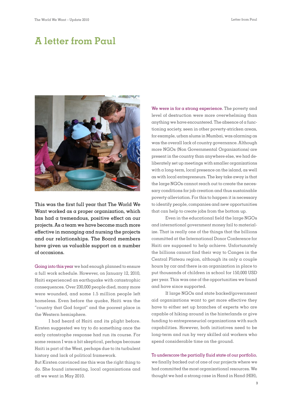### **A letter from Paul**



This was the first full year that The World We Want worked as a proper organization, which has had a tremendous, positive effect on our projects. As a team we have become much more effective in managing and nursing the projects and our relationships. The Board members have given us valuable support on a number of occasions.

Going into this year we had enough planned to ensure a full work schedule. However, on January 12, 2010, Haiti experienced an earthquake with catastrophic consequences. Over 230,000 people died, many more were wounded, and some 1.5 million people left homeless. Even before the quake, Haiti was the "country that God forgot" and the poorest place in the Western hemisphere.

I had heard of Haiti and its plight before. Kirsten suggested we try to do something once the early catastrophe response had run its course. For some reason I was a bit skeptical, perhaps because Haiti is part of the West, perhaps due to its turbulent history and lack of political framework.

But Kirsten convinced me this was the right thing to do. She found interesting, local organizations and off we went in May 2010.

We were in for  $\alpha$  strong experience. The poverty and level of destruction were more overwhelming than anything we have encountered. The absence of a functioning society, seen in other poverty-stricken areas, for example, urban slums in Mumbai, was alarming as was the overall lack of country governance. Although more NGOs (Non Governmental Organizations) are present in the country than anywhere else, we had deliberately set up meetings with smaller organizations with a long-term, local presence on the island, as well as with local entrepreneurs. The key take away is that the large NGOs cannot reach out to create the necessary conditions for job creation and thus sustainable poverty alleviation. For this to happen it is necessary to identify people, companies and new opportunities that can help to create jobs from the bottom up.

Even in the educational field the large NGOs and international government money fail to materialize. That is really one of the things that the billions committed at the International Donor Conference for Haiti are supposed to help achieve. Unfortunately the billions cannot find their way to Canges in the Central Plateau region, although its only a couple hours by car and there is an organization in place to put thousands of children in school for 150,000 USD per year. This was one of the opportunities we found and have since supported.

If large NGOs and state backed/government aid organizations want to get more effective they have to either set up branches of experts who are capable of hiking around in the hinterlands or give funding to entrepreneurial organizations with such capabilities. However, both initiatives need to be long-term and run by very skilled aid workers who spend considerable time on the ground.

#### To underscore the partially fluid state of our portfolio,

we finally backed out of one of our projects where we had committed the most organizational resources. We thought we had a strong case in Hand in Hand (HIH),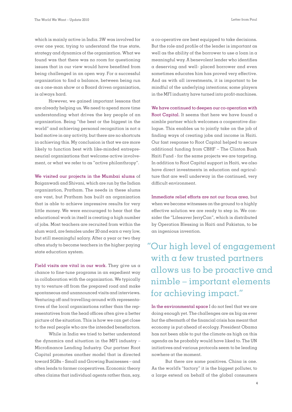which is mainly active in India. 3W was involved for over one year, trying to understand the true state, strategy and dynamics of the organization. What we found was that there was no room for questioning issues that in our view would have benefited from being challenged in an open way. For a successful organization to find a balance, between being run as a one-man show or a Board driven organization, is always hard.

However, we gained important lessons that are already helping us. We need to spend more time understanding what drives the key people of an organization. Being "the best or the biggest in the world" and achieving personal recognition is not a bad motive in any activity, but there are no shortcuts in achieving this. My conclusion is that we are more likely to function best with like-minded entrepreneurial organizations that welcome active involvement, or what we refer to as "active philanthropy".

We visited our projects in the Mumbai slums of Baiganwadi and Shivani, which are run by the Indian organization, Pratham. The needs in these slums are vast, but Pratham has built an organization that is able to achieve impressive results for very little money. We were encouraged to hear that the educational work in itself is creating a high number of jobs. Most teachers are recruited from within the slum ward, are females under 20 and earn a very low, but still meaningful salary. After a year or two they often study to become teachers in the higher paying state education system.

Field visits are vital in our work. They give us a chance to fine-tune programs in an expedient way in collaboration with the organization. We typically try to venture off from the prepared road and make spontaneous and unannounced visits and interviews. Venturing off and travelling around with representatives of the local organizations rather than the representatives from the head offices often give a better picture of the situation. This is how we can get close to the real people who are the intended benefactors.

While in India we tried to better understand the dynamics and situation in the MFI industry – Microfinance Lending Industry. Our partner Root Capital promotes another model that is directed toward SGBs – Small and Growing Businesses – and often lends to farmer cooperatives. Economic theory often claims that individual agents rather than, say,

a co-operative are best equipped to take decisions. But the role and profile of the lender is important as well as the ability of the borrower to use a loan in  $\alpha$ meaningful way. A benevolent lender who identifies a deserving and well- placed borrower and even sometimes educates him has proved very effective. And as with all investments, it is important to be mindful of the underlying intentions; some players in the MFI industry have turned into profit-machines.

We have continued to deepen our co-operation with Root Capital. It seems that here we have found a nimble partner which welcomes a cooperative dialogue. This enables us to jointly take on the job of finding ways of creating jobs and income in Haiti. Our fast response to Root Capital helped to secure additional funding from CBHF – The Clinton Bush Haiti Fund - for the same projects we are targeting. In addition to Root Capital support in Haiti, we also have direct investments in education and agriculture that are well underway in the continued, very difficult environment.

Immediate relief efforts are not our focus area, but when we become witnesses on the ground to  $\alpha$  highly effective solution we are ready to step in. We consider the "Lifesaver JerryCan", which is distributed by Operation Blessing in Haiti and Pakistan, to be an ingenious invention.

## ''Our high level of engagement with a few trusted partners allows us to be proactive and nimble – important elements for achieving impact."

In the environmental space I do not feel that we are doing enough yet. The challenges are as big as ever but the aftermath of the financial crisis has meant that economy is put ahead of ecology. President Obama has not been able to put the climate as high on this agenda as he probably would have liked to. The UN initiatives and various protocols seem to be leading nowhere at the moment.

But there are some positives. China is one. As the world's "factory" it is the biggest polluter, to a large extend on behalf of the global consumers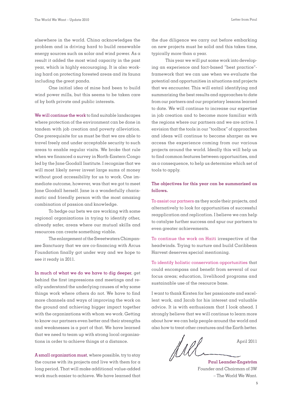Letter from Paul

elsewhere in the world. China acknowledges the problem and is driving hard to build renewable energy sources such as solar and wind power. As a result it added the most wind capacity in the past year, which is highly encouraging. It is also working hard on protecting forested areas and its fauna including the great panda.

One initial idea of mine had been to build wind power mills, but this seems to be taken care of by both private and public interests.

We will continue the work to find suitable landscapes where protection of the environment can be done in tandem with job creation and poverty alleviation. One prerequisite for us must be that we are able to travel freely and under acceptable security to such areas to enable regular visits. We broke that rule when we financed a survey in North-Eastern Congo led by the Jane Goodall Institute. I recognize that we will most likely never invest large sums of money without good accessibility for us to work. One immediate outcome, however, was that we got to meet Jane Goodall herself. Jane is a wonderfully charismatic and friendly person with the most amazing combination of passion and knowledge.

To hedge our bets we are working with some regional organizations in trying to identify other, already safer, areas where our mutual skills and resources can create something viable.

The enlargement of the Sweetwaters Chimpanzee Sanctuary that we are co-financing with Arcus Foundation finally got under way and we hope to see it ready in 2011.

In much of what we do we have to dig deeper, get behind the first impressions and meetings and really understand the underlying causes of why some things work where others do not. We have to find more channels and ways of improving the work on the ground and achieving bigger impact together with the organizations with whom we work. Getting to know our partners even better and their strengths and weaknesses is a part of that. We have learned that we need to team up with strong local organizations in order to achieve things at a distance.

A small organization must, where possible, try to stay the course with its projects and live with them for  $\alpha$ long period. That will make additional value-added work much easier to achieve. We have learned that

the due diligence we carry out before embarking on new projects must be solid and this takes time, typically more than a year.

This year we will put some work into developing an experience and fact-based "best practice" framework that we can use when we evaluate the potential and opportunities in situations and projects that we encounter. This will entail identifying and summarizing the best results and approaches to date from our partners and our proprietary lessons learned to date. We will continue to increase our expertise in job creation and to become more familiar with the regions where our partners and we are active. I envision that the tools in our "toolbox" of approaches and ideas will continue to become sharper as we access the experience coming from our various projects around the world. Ideally this will help us to find common features between opportunities, and as a consequence, to help us determine which set of tools to apply.

#### **The objectives for this year can be summarized as follows.**

To assist our partners as they scale their projects, and alternatively to look for opportunities of successful reapplication and replication. I believe we can help to catalyze further success and spur our partners to even greater achievements.

To continue the work on Haiti irrespective of the headwinds. Trying to nurture and build Caribbean Harvest deserves special mentioning.

To identify holistic conservation opportunities that could encompass and benefit from several of our focus areas; education, livelihood programs and sustainable use of the resource base.

I want to thank Kirsten for her passionate and excellent work, and Jacob for his interest and valuable advice. It is with enthusiasm that I look ahead. I strongly believe that we will continue to learn more about how we can help people around the world and also how to treat other creatures and the Earth better.

Del April 2011

**Paul Leander-Engström** Founder and Chairman of 3W – The World We Want.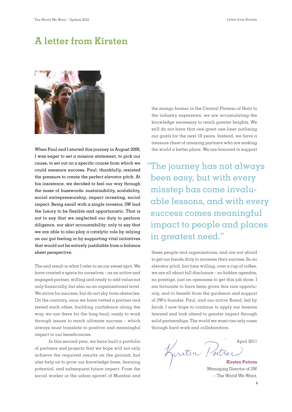### **A letter from Kirsten**



When Paul and I started this journey in August 2009, I was eager to set a mission statement, to pick our cause, to set out on a specific course from which we could measure success. Paul, thankfully, resisted the pressure to create the perfect elevator pitch. At his insistence, we decided to feel our way through the maze of buzzwords: sustainability, scalability, social entrepreneurship, impact investing, social impact. Being small with a single investor,  $3W$  had the luxury to be flexible and opportunistic. That is not to say that we neglected our duty to perform diligence, nor skirt accountability; only to say that we are able to also play a catalytic role by relying on our gut feeling or by supporting vital initiatives that would not be entirely justifiable from a balance sheet perspective.

The end result is what I refer to as our sweet spot. We have created a space for ourselves – as an active and engaged partner, willing and ready to add value not only financially, but also on an organizational level. We strive for success, but do not shy from obstacles. On the contrary, once we have vetted a partner and tested each other, building confidence along the way, we are there for the long haul, ready to work through issues to reach ultimate success – which always must translate to positive and meaningful impact to our beneficiaries.

In this second year, we have built a portfolio of partners and projects that we hope will not only achieve the required results on the ground, but also help us to grow our knowledge base, learning potential, and subsequent future impact. From the social worker in the urban sprawl of Mumbai and

the mango farmer in the Central Plateau of Haiti to the industry superstars, we are accumulating the knowledge necessary to reach greater heights. We still do not have that one great one-liner outlining our goals for the next 10 years. Instead, we have a treasure chest of amazing partners who are making the world a better place. We are honored to support

''The journey has not always been easy, but with every misstep has come invaluable lessons, and with every success comes meaningful impact to people and places in greatest need."

these people and organizations, and are not afraid to get our hands dirty to increase their success. So no  $e$ levator pitch, but time willing, over a cup of coffee, we are all about full disclosure – no hidden agendas, no prestige, just an openness to get this job done. I am fortunate to have been given this rare opportunity, and to benefit from the guidance and support of 3W's founder, Paul, and our active Board, led by Jacob. I now hope to continue to apply our lessons learned and look ahead to greater impact through solid partnerships. The world we want can only come through hard work and collaboration.

April 2011 Kurstin *Portras* 

Managing Director of 3W – The World We Want.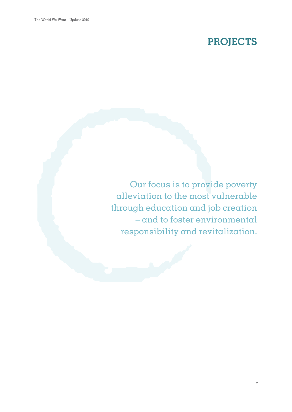# **PROJECTS**

Our focus is to provide poverty alleviation to the most vulnerable through education and job creation – and to foster environmental responsibility and revitalization.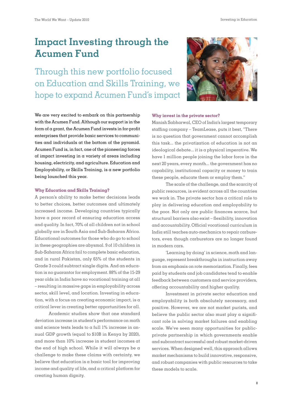Investing in Education

### **Impact Investing through the Acumen Fund**

Through this new portfolio focused on Education and Skills Training, we hope to expand Acumen Fund's impact

We are very excited to embark on this partnership with the Acumen Fund. Although our support is in the form of a grant, the Acumen Fund invests in for-profit enterprises that provide basic services to communities and individuals at the bottom of the pyramid. Acumen Fund is, in fact, one of the pioneering forces of impact investing in a variety of areas including housing, electricity, and agriculture. Education and Employability, or Skills Training, is a new portfolio being launched this year.

#### **Why Education and Skills Training?**

A person's ability to make better decisions leads to better choices, better outcomes and ultimately increased income. Developing countries typically have a poor record of ensuring education access and quality. In fact, 70% of all children not in school globally are in South Asia and Sub-Saharan Africa. Educational outcomes for those who do go to school in these geographies are abysmal. 9 of 10 children in Sub-Saharan Africa fail to complete basic education, and in rural Pakistan, only 65% of the students in Grade 3 could subtract single digits. And an education is no guarantor for employment. 88% of the 15-29 year olds in India have no vocational training at all – resulting in massive gaps in employability across sector, skill level, and location. Investing in education, with a focus on creating economic impact, is  $\alpha$ critical lever in creating better opportunities for all.

Academic studies show that one standard deviation increase in student's performance on math and science tests leads to a full 1% increase in annual GDP growth (equal to \$10B in Kenya by 2020), and more than 10% increase in student incomes at the end of high school. While it will always be a challenge to make these claims with certainty, we believe that education is a basic tool for improving income and quality of life, and a critical platform for creating human dignity.



#### **Why invest in the private sector?**

Manish Sabharwal, CEO of India's largest temporary staffing company – TeamLease, puts it best, "There is no question that government cannot accomplish this task... the privatization of education is not an ideological debate... it is a physical imperative. We have 1 million people joining the labor force in the next 20 years, every month... the government has no capability, institutional capacity or money to train these people, educate them or employ them."

The scale of the challenge, and the scarcity of public resources, is evident across all the countries we work in. The private sector has a critical role to play in delivering education and employability to the poor. Not only are public finances scarce, but structural barriers also exist – flexibility, innovation and accountability. Official vocational curriculum in India still teaches auto-mechanics to repair carburetors, even though carburetors are no longer found in modern cars.

'Learning by doing' in science, math and language, represent breakthroughs in instruction away from an emphasis on rote memorization. Finally, fees paid by students and job candidates tend to enable feedback between customers and service providers, offering accountability and higher quality.

Investment in private sector education and employability is both absolutely necessary, and positive. However, we are not market purists, and believe the public sector also must play a significant role in solving market failures and enabling scale. We've seen many opportunities for publicprivate partnership in which governments enable and subcontract successful and robust market-driven services. When designed well, this approach allows market mechanisms to build innovative, responsive, and robust companies with public resources to take these models to scale.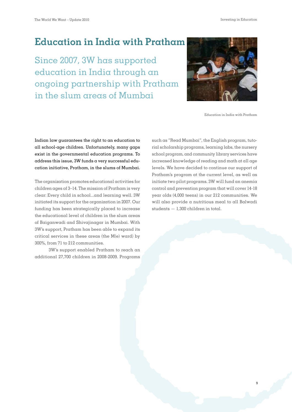Investing in Education

#### **Education in India with Pratham**

Since 2007, 3W has supported education in India through an ongoing partnership with Pratham in the slum areas of Mumbai



Education in India with Pratham

 **9**

Indian law guarantees the right to an education to all school-age children. Unfortunately, many gaps exist in the governmental education programs. To address this issue, 3W funds a very successful education initiative, Pratham, in the slums of Mumbai.

The organization promotes educational activities for children ages of 3–14. The mission of Pratham is very clear: Every child in school...and learning well. 3W initiated its support for the organization in 2007. Our funding has been strategically placed to increase the educational level of children in the slum areas of Baiganwadi and Shivajinagar in Mumbai. With 3W's support, Pratham has been able to expand its critical services in these areas (the M(e) ward) by 300%, from 71 to 212 communities.

3W's support enabled Pratham to reach an additional 27,700 children in 2008-2009. Programs

such as "Read Mumbai", the English program, tutorial scholarship programs, learning labs, the nursery school program, and community library services have increased knowledge of reading and math at all age levels. We have decided to continue our support of Pratham's program at the current level, as well as initiate two pilot programs. 3W will fund an anemia control and prevention program that will cover 14-18 year olds (4,000 teens) in our 212 communities. We will also provide a nutritious meal to all Balwadi students — 1,300 children in total.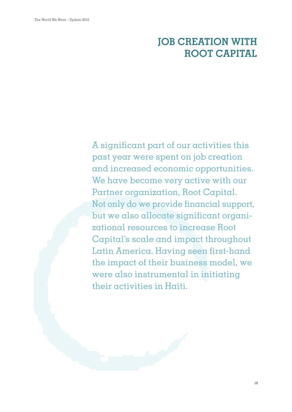# **JOB CREATION WITH ROOT CAPITAL**

A significant part of our activities this past year were spent on job creation and increased economic opportunities. We have become very active with our Partner organization, Root Capital. Not only do we provide financial support, but we also allocate significant organizational resources to increase Root Capital's scale and impact throughout Latin America. Having seen first-hand the impact of their business model, we were also instrumental in initiating their activities in Haiti.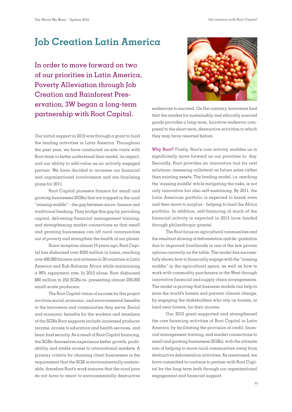#### **Job Creation Latin America**

In order to move forward on two of our priorities in Latin America, Poverty Alleviation through Job Creation and Rainforest Preservation, 3W began a long-term partnership with Root Capital.

Our initial support in 2010 was through a grant to fund the lending activities in Latin America. Throughout the past year, we have conducted on-site visits with Root team to better understand their model, its impact, and our ability to add-value as an actively engaged partner. We have decided to increase our financial and organizational involvement and are finalizing plans for 2011.

Root Capital pioneers finance for small and growing businesses (SGBs) that are trapped in the rural "missing middle" – the gap between micro- finance and traditional banking. They bridge this gap by providing capital, delivering financial management training, and strengthening market connections so that small and growing businesses can lift rural communities out of poverty and strengthen the health of our planet.

Since inception almost 10 years ago, Root Capital has disbursed over \$200 million in loans, reaching over 400,000 farmers and artisans in 30 countries in Latin America and Sub-Saharan Africa while maintaining a 99% repayment rate. In 2010 alone, Root disbursed \$80 million to 250 SGBs re- presenting almost 200,000 small-scale producers.

The Root Capital vision of success for this project involves social, economic, and environmental benefits to the borrowers and communities they serve. Social and economic benefits for the workers and members of the SGBs Root supports include increased producer income, access to education and health services, and basic food security. As a result of Root Capital financing, the SGBs themselves experience better growth, profitability, and stable access to international markets. A primary criteria for choosing client businesses is the requirement that the SGB is environmentally sustainable, therefore Root's work ensures that the rural poor do not have to resort to environmentally destructive



endeavors to succeed. On the contrary, borrowers find that the market for sustainably and ethically sourced goods provides a long-term, lucrative endeavor compared to the short-term, destructive activities to which they may have resorted before.

Why Root? Firstly, Root's core activity enables us to significantly move forward on our priorities to- day. Secondly, Root provides an innovative tool for real solutions: assessing collateral on future sales rather than existing assets. The lending model, i.e. reaching the 'missing middle' while mitigating the risks, is not only innovative but also self-sustaining. By 2011, the Latin American portfolio is expected to break even and then move to surplus – helping to fund the Africa portfolio. In addition, self-financing of much of the financial activity is expected in 2013 (now funded through philanthropic grants).

The Root focus on agricultural communities and the resultant slowing of deforestation and de- gradation due to improved livelihoods is one of the few proven options currently on the table. The model has successfully shown how to financially engage with the "missing middle" in the agricultural space, as well as how to work with commodity purchasers in the West through innovative financial and supply chain arrangements. The model is proving that business models can help to save the world's forests and prevent climate change, by engaging the stakeholders who rely on forests, or land near forests, for their income.

Our 2010 grant supported and strengthened the core financing activities of Root Capital in Latin America, by facilitating the provision of credit, financial management training, and market connections to small and growing businesses (SGBs), with the ultimate aim of helping to move rural communities away from destructive deforestation activities. As mentioned, we have committed to continue to partner with Root Capital for the long-term both through our organizational engagement and financial support.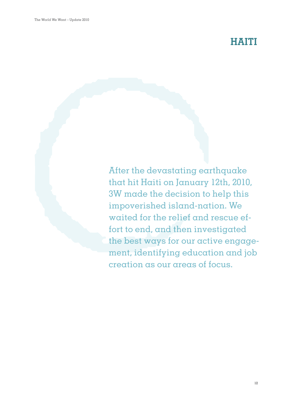# **HAITI**

After the devastating earthquake that hit Haiti on January 12th, 2010, 3W made the decision to help this impoverished island-nation. We waited for the relief and rescue effort to end, and then investigated the best ways for our active engagement, identifying education and job creation as our areas of focus.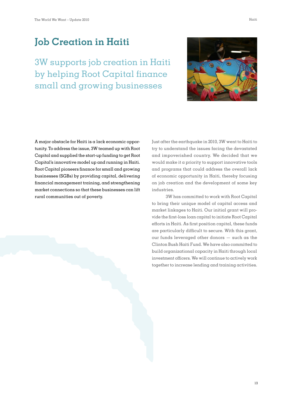### **Job Creation in Haiti**

3W supports job creation in Haiti by helping Root Capital finance small and growing businesses



A major obstacle for Haiti is a lack economic opportunity. To address the issue, 3W teamed up with Root Capital and supplied the start-up funding to get Root Capital's innovative model up and running in Haiti. Root Capital pioneers finance for small and growing businesses (SGBs) by providing capital, delivering financial management training, and strengthening market connections so that these businesses can lift rural communities out of poverty.

Just after the earthquake in 2010, 3W went to Haiti to try to understand the issues facing the devastated and impoverished country. We decided that we would make it a priority to support innovative tools and programs that could address the overall lack of economic opportunity in Haiti, thereby focusing on job creation and the development of some key industries.

3W has committed to work with Root Capital to bring their unique model of capital access and market linkages to Haiti. Our initial grant will provide the first-loss loan capital to initiate Root Capital efforts in Haiti. As first position capital, these funds are particularly difficult to secure. With this grant, our funds leveraged other donors — such as the Clinton Bush Haiti Fund. We have also committed to build organizational capacity in Haiti through local investment officers. We will continue to actively work together to increase lending and training activities.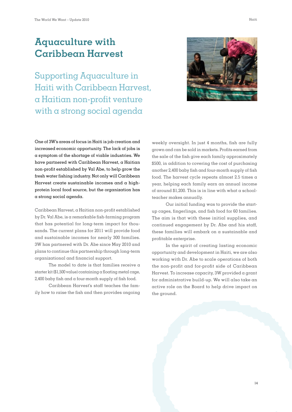### **Aquaculture with Caribbean Harvest**

Supporting Aquaculture in Haiti with Caribbean Harvest, a Haitian non-profit venture with a strong social agenda



One of 3W's areas of focus in Haiti is job creation and increased economic opportunity. The lack of jobs is a symptom of the shortage of viable industries. We have partnered with Caribbean Harvest, a Haitian non-profit established by Val Abe, to help grow the fresh water fishing industry. Not only will Caribbean Harvest create sustainable incomes and a highprotein local food source, but the organization has a strong social agenda.

Caribbean Harvest, a Haitian non-profit established by Dr. Val Abe, is a remarkable fish-farming program that has potential for long-term impact for thousands. The current plans for 2011 will provide food and sustainable incomes for nearly 300 families. 3W has partnered with Dr. Abe since May 2010 and plans to continue this partnership through long-term organizational and financial support.

The model to date is that families receive a starter kit (\$1,500 value) containing a floating metal cage, 2,400 baby fish and a four-month supply of fish food.

Caribbean Harvest's staff teaches the family how to raise the fish and then provides ongoing weekly oversight. In just 4 months, fish are fully grown and can be sold in markets. Profits earned from the sale of the fish give each family approximately \$500, in addition to covering the cost of purchasing another 2,400 baby fish and four-month supply of fish food. The harvest cycle repeats almost 2.5 times a year, helping each family earn an annual income of around \$1,200. This is in line with what a schoolteacher makes annually.

Our initial funding was to provide the startup cages, fingerlings, and fish food for 60 families. The aim is that with these initial supplies, and continued engagement by Dr. Abe and his staff, these families will embark on a sustainable and profitable enterprise.

In the spirit of creating lasting economic opportunity and development in Haiti, we are also working with Dr. Abe to scale operations of both the non-profit and for-profit side of Caribbean Harvest. To increase capacity, 3W provided a grant for administrative build-up. We will also take an active role on the Board to help drive impact on the ground.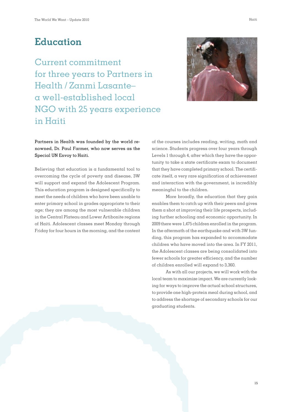Current commitment for three years to Partners in Health / Zanmi Lasante– a well-established local NGO with 25 years experience in Haiti



#### Partners in Health was founded by the world renowned, Dr. Paul Farmer, who now serves as the Special UN Envoy to Haiti.

Believing that education is a fundamental tool to overcoming the cycle of poverty and disease, 3W will support and expand the Adolescent Program. This education program is designed specifically to meet the needs of children who have been unable to enter primary school in grades appropriate to their age; they are among the most vulnerable children in the Central Plateau and Lower Artibonite regions of Haiti. Adolescent classes meet Monday through Friday for four hours in the morning, and the content

of the courses includes reading, writing, math and science. Students progress over four years through Levels 1 through 4, after which they have the opportunity to take a state certificate exam to document that they have completed primary school. The certificate itself, a very rare signification of achievement and interaction with the government, is incredibly meaningful to the children.

More broadly, the education that they gain enables them to catch up with their peers and gives them  $\alpha$  shot  $\alpha$ t improving their life prospects, including further schooling and economic opportunity. In 2009 there were 1,475 children enrolled in the program. In the aftermath of the earthquake and with 3W funding, this program has expanded to accommodate children who have moved into the area. In FY 2011, the Adolescent classes are being consolidated into fewer schools for greater efficiency, and the number of children enrolled will expand to 3,360.

As with all our projects, we will work with the local team to maximize impact. We are currently looking for ways to improve the actual school structures, to provide one high-protein meal during school, and to address the shortage of secondary schools for our graduating students.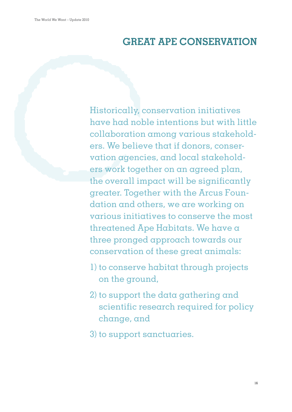# **GREAT APE CONSERVATION**

Historically, conservation initiatives have had noble intentions but with little collaboration among various stakeholders. We believe that if donors, conservation agencies, and local stakeholders work together on an agreed plan, the overall impact will be significantly greater. Together with the Arcus Foundation and others, we are working on various initiatives to conserve the most threatened Ape Habitats. We have a three pronged approach towards our conservation of these great animals:

- 1) to conserve habitat through projects on the ground,
- 2) to support the data gathering and scientific research required for policy change, and
- 3) to support sanctuaries.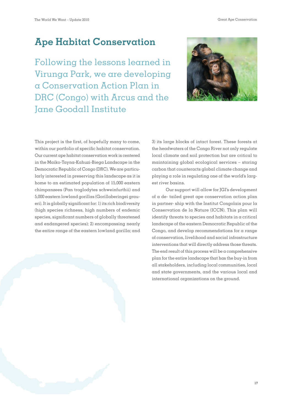# **Ape Habitat Conservation**

Following the lessons learned in Virunga Park, we are developing a Conservation Action Plan in DRC (Congo) with Arcus and the Jane Goodall Institute



This project is the first, of hopefully many to come, within our portfolio of specific habitat conservation. Our current ape habitat conservation work is centered in the Maiko-Tayna-Kahuzi-Biega Landscape in the Democratic Republic of Congo (DRC). We are particularly interested in preserving this landscape as it is home to an estimated population of 15,000 eastern chimpanzees (Pan troglodytes schweinfurthii) and 5,000 eastern lowland gorillas (Gorillaberingei graueri). It is globally significant for: 1) its rich biodiversity (high species richness, high numbers of endemic species, significant numbers of globally threatened and endangered species); 2) encompassing nearly the entire range of the eastern lowland gorilla; and

3) its large blocks of intact forest. These forests at the headwaters of the Congo River not only regulate local climate and soil protection but are critical to maintaining global ecological services – storing carbon that counteracts global climate change and playing a role in regulating one of the world's largest river basins.

Our support will allow for JGI's development of a de- tailed great ape conservation action plan in partner- ship with the Institut Congolais pour la Conservation de la Nature (ICCN). This plan will identify threats to species and habitats in a critical landscape of the eastern Democratic Republic of the Congo, and develop recommendations for a range of conservation, livelihood and social infrastructure interventions that will directly address those threats. The end result of this process will be  $\alpha$  comprehensive plan for the entire landscape that has the buy-in from all stakeholders, including local communities, local and state governments, and the various local and international organizations on the ground.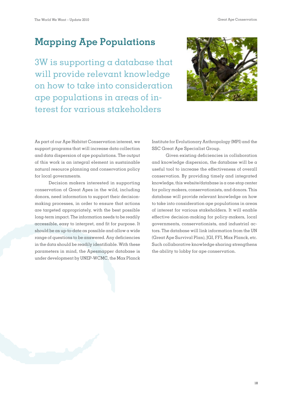Great Ape Conservation

## **Mapping Ape Populations**

3W is supporting a database that will provide relevant knowledge on how to take into consideration ape populations in areas of interest for various stakeholders



As part of our Ape Habitat Conservation interest, we support programs that will increase data collection and data dispersion of ape populations. The output of this work is an integral element in sustainable natural resource planning and conservation policy for local governments.

Decision makers interested in supporting conservation of Great Apes in the wild, including donors, need information to support their decisionmaking processes, in order to ensure that actions are targeted appropriately, with the best possible long-term impact. The information needs to be readily accessible, easy to interpret, and fit for purpose. It should be as up-to-date as possible and allow a wide range of questions to be answered. Any deficiencies in the data should be readily identifiable. With these parameters in mind, the Apesmapper database is under development by UNEP-WCMC, the Max Planck Institute for Evolutionary Anthropology (MPI) and the SSC Great Ape Specialist Group.

Given existing deficiencies in collaboration and knowledge dispersion, the database will be a useful tool to increase the effectiveness of overall conservation. By providing timely and integrated knowledge, this website/database is a one-stop center for policy makers, conservationists, and donors. This database will provide relevant knowledge on how to take into consideration ape populations in areas of interest for various stakeholders. It will enable effective decision-making for policy-makers, local governments, conservationists, and industrial actors. The database will link information from the UN (Great Ape Survival Plan), JGI, FFI, Max Planck, etc. Such collaborative knowledge sharing strengthens the ability to lobby for ape conservation.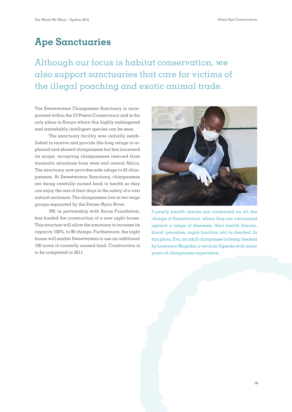## **Ape Sanctuaries**

Although our focus is habitat conservation, we also support sanctuaries that care for victims of the illegal poaching and exotic animal trade.

The Sweetwaters Chimpanzee Sanctuary is incorporated within the Ol Pejeta Conservancy and is the only place in Kenya where this highly endangered and remarkably intelligent species can be seen.

The sanctuary facility was initially established to receive and provide life-long refuge to orphaned and abused chimpanzees but has increased its scope, accepting chimpanzees rescued from traumatic situations from west and central Africa. The sanctuary now provides safe refuge to 43 chimpanzees. At Sweetwaters Sanctuary, chimpanzees are being carefully nursed back to health so they can enjoy the rest of their days in the safety of a vast natural enclosure. The chimpanzees live in two large groups separated by the Ewaso Nyiro River.

3W, in partnership with Arcus Foundation, has funded the construction of  $\alpha$  new night house. This structure will allow the sanctuary to increase its capacity 100%, to 90 chimps. Furthermore, the night house will enable Sweetwaters to use an additional 100 acres of currently unused land. Construction is to be completed in 2011.



3-yearly health checks are conducted on all the chimps at Sweetwaters, where they are vaccinated against a range of diseases, their health (faeces, blood, parasites, organ function, etc) is checked. In this photo, Eva, an adult chimpanzee is being checked by Lawrence Mugisha, a vet from Uganda with many years of chimpanzee experience.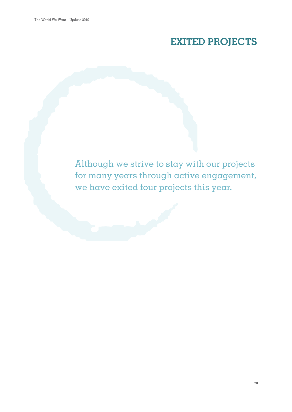# **EXITED PROJECTS**

Although we strive to stay with our projects for many years through active engagement, we have exited four projects this year.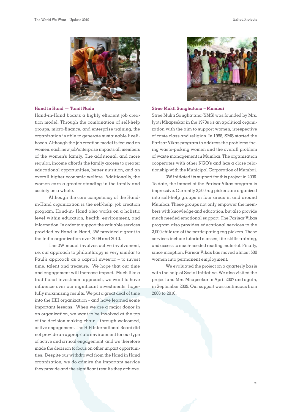

#### **Hand in Hand — Tamil Nadu**

Hand-in-Hand boasts a highly efficient job creation model. Through the combination of self-help groups, micro-finance, and enterprise training, the organization is able to generate sustainable livelihoods. Although the job creation model is focused on women, each new job/enterprise impacts all members of the women's family. The additional, and more regular, income affords the family access to greater educational opportunities, better nutrition, and an overall higher economic welfare. Additionally, the women earn a greater standing in the family and society as a whole.

Although the core competency of the Handin-Hand organization is the self-help, job creation program, Hand-in- Hand also works on a holistic level within education, health, environment, and information. In order to support the valuable services provided by Hand-in-Hand, 3W provided a grant to the India organization over 2009 and 2010.

The 3W model involves active involvement, i.e. our approach to philanthropy is very similar to Paul's approach as a capital investor – to invest time, talent and treasure. We hope that our time and engagement will increase impact. Much like a traditional investment approach, we want to have influence over our significant investments, hopefully maximizing results. We put a great deal of time into the HIH organization – and have learned some important lessons. When we are a major donor in an organization, we want to be involved at the top of the decision making chain—through welcomed, active engagement. The HIH International Board did not provide an appropriate environment for our type of active and critical engagement, and we therefore made the decision to focus on other impact opportunities. Despite our withdrawal from the Hand in Hand organization, we do admire the important service they provide and the significant results they achieve.



#### **Stree Mukti Sanghatana – Mumbai**

Stree Mukti Sanghatana (SMS) was founded by Mrs. Jyoti Mhapsekar in the 1970s as an apolitical organization with the aim to support women, irrespective of caste class and religion. In 1998, SMS started the Parisar Vikas program to address the problems facing waste-picking women and the overall problem of waste management in Mumbai. The organization cooperates with other NGO's and has a close relationship with the Municipal Corporation of Mumbai.

3W initiated its support for this project in 2006. To date, the impact of the Parisar Vikas program is impressive. Currently 2,500 rag pickers are organized into self-help groups in four areas in and around Mumbai. These groups not only empower the members with knowledge and education, but also provide much needed emotional support. The Parisar Vikas program also provides educational services to the 2,000 children of the participating rag pickers. These services include tutorial classes, life-skills training, and access to much-needed reading material. Finally, since inception, Parisar Vikas has moved almost 500 women into permanent employment.

We evaluated the project on a quarterly basis with the help of Social Initiative. We also visited the project and Mrs. Mhapsekar in April 2007 and again, in September 2009. Our support was continuous from 2006 to 2010.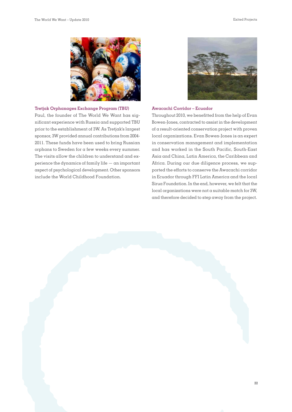

#### **Tretjak Orphanages Exchange Program (TBU)**

Paul, the founder of The World We Want has significant experience with Russia and supported TBU prior to the establishment of 3W. As Tretjak's largest sponsor, 3W provided annual contributions from 2004- 2011. These funds have been used to bring Russian orphans to Sweden for a few weeks every summer. The visits allow the children to understand and experience the dynamics of family life — an important aspect of psychological development. Other sponsors include the World Childhood Foundation.



#### **Awacachi Corridor – Ecuador**

Throughout 2010, we benefitted from the help of Evan Bowen-Jones, contracted to assist in the development of a result-oriented conservation project with proven local organizations. Evan Bowen-Jones is an expert in conservation management and implementation and has worked in the South Pacific, South-East Asia and China, Latin America, the Caribbean and Africa. During our due diligence process, we supported the efforts to conserve the Awacachi corridor in Ecuador through FFI Latin America and the local Sirua Foundation. In the end, however, we felt that the local organizations were not a suitable match for 3W, and therefore decided to step away from the project.